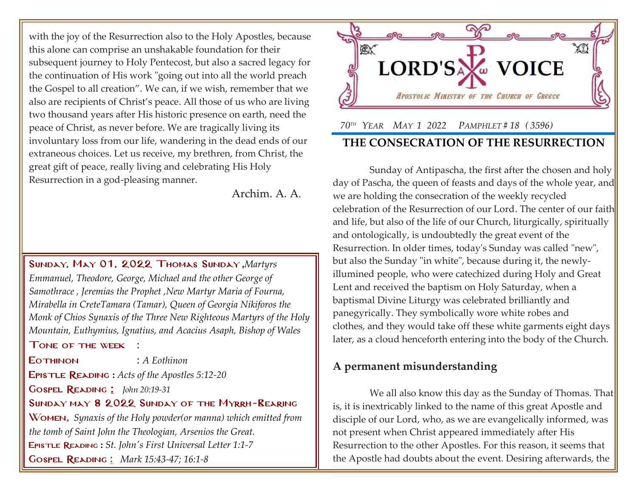with the joy of the Resurrection also to the Holy Apostles, because this alone can comprise an unshakable foundation for their subsequent journey to Holy Pentecost, but also a sacred legacy for the continuation of His work "going out into all the world preach the Gospel to all creation". We can, if we wish, remember that we also are recipients of Christ's peace. All those of us who are living two thousand years after His historic presence on earth, need the peace of Christ, as never before. We are tragically living its involuntary loss from our life, wandering in the dead ends of our extraneous choices. Let us receive, my brethren, from Christ, the great gift of peace, really living and celebrating His Holy Resurrection in a god-pleasing manner.

Archim. A. A.

Sunday, May 01, 2022 Thomas Sunday **,***[Martyrs](http://www.goarch.org/chapel/saints?contentid=2525)  [Emmanuel, Theodore, George, Michael and the other George of](http://www.goarch.org/chapel/saints?contentid=2525)  [Samothrace](http://www.goarch.org/chapel/saints?contentid=2525) , [Jeremias the Prophet](http://www.goarch.org/chapel/saints?contentid=37) ,New Martyr Maria of Fourna, Mirabella in Cret[eTamara \(Tamar\), Queen of Georgia](http://www.goarch.org/chapel/saints?contentid=2084) Nikiforos the Monk of Chios [Synaxis of the Three New Righteous Martyrs of the Holy](http://www.goarch.org/chapel/saints?contentid=2083)  [Mountain, Euthymius, Ignatius, and Acacius](http://www.goarch.org/chapel/saints?contentid=2083) Asaph, Bishop of Wales*

#### Tone of the week :

Eothinon : *A Eothinon* Epistle Reading **:** *[Acts of the Apostles 5:12-20](http://www.goarch.org/chapel/lectionary?type=E&code=3&event=1009&date=04/24/2022)* Gospel Reading [:](http://www.goarch.org/chapel/lectionary?type=G&code=362&event=218) *[John 20:19-31](http://www.goarch.org/chapel/lectionary?type=G&code=300&event=900)*

Sunday may 8 2022 Sunday of the Myrrh-Bearing

Women, *Synaxis of the Holy powder(or manna) which emitted from the tomb of Saint John the Theologian, Arsenios the Great.* Epistle Reading **:** *[St. John's First Universal Letter 1:1-7](http://www.goarch.org/chapel/lectionary?type=E&code=353&event=44&date=05/08/2022)* Gospel Reading **[:](http://www.goarch.org/chapel/lectionary?type=G&code=362&event=218)** *[Mark 15:43-47; 16:1-8](http://www.goarch.org/chapel/lectionary?type=G&code=300&event=900)*



# *70TH YEAR MAY 1 2022 PAMPHLET # 18 ( 3596)* **THE CONSECRATION OF THE RESURRECTION**

Sunday of Antipascha, the first after the chosen and holy day of Pascha, the queen of feasts and days of the whole year, and we are holding the consecration of the weekly recycled celebration of the Resurrection of our Lord. The center of our faith and life, but also of the life of our Church, liturgically, spiritually and ontologically, is undoubtedly the great event of the Resurrection. In older times, today's Sunday was called "new", but also the Sunday "in white", because during it, the newlyillumined people, who were catechized during Holy and Great Lent and received the baptism on Holy Saturday, when a baptismal Divine Liturgy was celebrated brilliantly and panegyrically. They symbolically wore white robes and clothes, and they would take off these white garments eight days later, as a cloud henceforth entering into the body of the Church.

# **A permanent misunderstanding**

We all also know this day as the Sunday of Thomas. That is, it is inextricably linked to the name of this great Apostle and disciple of our Lord, who, as we are evangelically informed, was not present when Christ appeared immediately after His Resurrection to the other Apostles. For this reason, it seems that the Apostle had doubts about the event. Desiring afterwards, the